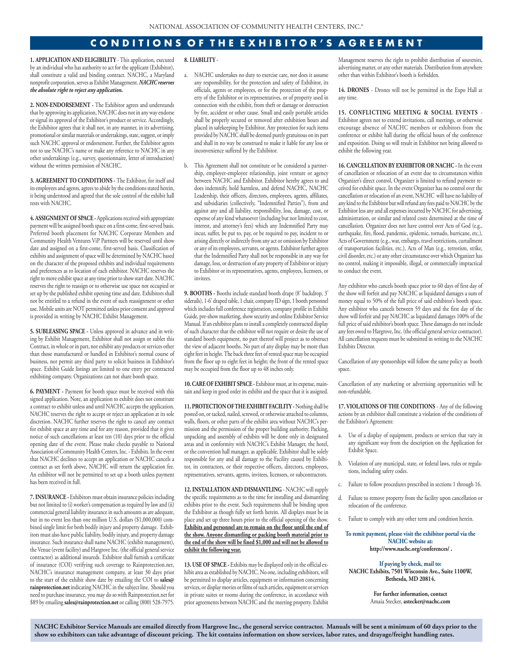## **C O N D I T I O N S O F T H E E X H I B I T O R ' S A G R E E M E N T**

**1. APPLICATION AND ELIGIBILITY** - This application, executed by an individual who has authority to act for the applicant (Exhibitor), shall constitute a valid and binding contract. NACHC, a Maryland nonprofit corporation, serves as Exhibit Management. *NACHC reserves the absolute right to reject any application.*

**2. NON-ENDORSEMENT -** The Exhibitor agrees and understands that by approving its application, NACHC does not in any way endorse or signal its approval of the Exhibitor's product or service. Accordingly, the Exhibitor agrees that it shall not, in any manner, in its advertising, promotional or similar materials or undertakings, state, suggest, or imply such NACHC approval or endorsement. Further, the Exhibitor agrees not to use NACHC's name or make any reference to NACHC in any other undertakings (e.g., survey, questionnaire, letter of introduction) without the written permission of NACHC.

**3. AGREEMENT TO CONDITIONS -** The Exhibitor, for itself and its employees and agents, agrees to abide by the conditions stated herein, it being understood and agreed that the sole control of the exhibit hall rests with NACHC.

**4. ASSIGNMENT OF SPACE -**Applications received with appropriate payment will be assigned booth space on a first-come, first-served basis. Preferred booth placement for NACHC Corporate Members and Community Health Ventures ViP Partners will be reserved until show date and assigned on a first-come, first-served basis. Classification of exhibits and assignment of space will be determined by NACHC based on the character of the proposed exhibits and individual requirements and preferences as to location of each exhibitor. NACHC reserves the right to move exhibit space at any time prior to show start date. NACHC reserves the right to reassign or to otherwise use space not occupied or set up by the published exhibit opening time and date. Exhibitors shall not be entitled to a refund in the event of such reassignment or other use. Mobile units are NOT permitted unless prior consent and approval is provided in writing by NACHC Exhibit Management.

**5. SUBLEASING SPACE -** Unless approved in advance and in writing by Exhibit Management, Exhibitor shall not assign or sublet this Contract, in whole or in part, nor exhibit any products or services other than those manufactured or handled in Exhibitor's normal course of business, nor permit any third party to solicit business in Exhibitor's space. Exhibit Guide listings are limited to one entry per contracted exhibiting company. Organizations can not share booth space.

**6. PAYMENT -** Payment for booth space must be received with this signed application. Note, an application to exhibit does not constitute a contract to exhibit unless and until NACHC accepts the application. NACHC reserves the right to accept or reject an application at its sole discretion. NACHC further reserves the right to cancel any contract for exhibit space at any time and for any reason, provided that it gives notice of such cancellations at least ten (10) days prior to the official opening date of the event. Please make checks payable to National Association of Community Health Centers, Inc. - Exhibits. In the event that NACHC declines to accept an application or NACHC cancels a contract as set forth above, NACHC will return the application fee. An exhibitor will not be permitted to set up a booth unless payment has been received in full.

**7. INSURANCE -** Exhibitors must obtain insurance policies including but not limited to (i) worker's compensation as required by law and (ii) commercial general liability insurance in such amounts as are adequate, but in no event less than one million U.S. dollars (\$1,000,000) combined single limit for both bodily injury and property damage. Exhibitors must also have public liability, bodily injury, and property damage insurance. Such insurance shall name NACHC (exhibit management), the Venue (event facility) and Hargrove Inc. (the official general service contractor) as additional insureds. Exhibitor shall furnish a certificate of insurance (COI) verifying such coverage to Rainprotection.net, NACHC's insurance management company, at least 30 days prior to the start of the exhibit show date by emailing the COI to **sales@ rainprotection.net** indicating NACHC in the subject line. Should you need to purchase insurance, you may do so with Rainprotection.net for \$89 by emailing **sales@rainprotection.net** or calling (800) 528-7975.

## **8. LIABILITY** -

- a. NACHC undertakes no duty to exercise care, nor does it assume any responsibility, for the protection and safety of Exhibitor, its officials, agents or employees, or for the protection of the property of the Exhibitor or its representatives, or of property used in connection with the exhibit, from theft or damage or destruction by fire, accident or other cause. Small and easily portable articles shall be properly secured or removed after exhibition hours and placed in safekeeping by Exhibitor. Any protection for such items provided by NACHC shall be deemed purely gratuitous on its part and shall in no way be construed to make it liable for any loss or inconvenience suffered by the Exhibitor.
- b. This Agreement shall not constitute or be considered a partnership, employer-employee relationship, joint venture or agency between NACHC and Exhibitor. Exhibitor hereby agrees to and does indemnify, hold harmless, and defend NACHC, NACHC Leadership, their officers, directors, employees, agents, affiliates, and subsidiaries (collectively, "Indemnified Parties"), from and against any and all liability, responsibility, loss, damage, cost, or expense of any kind whatsoever (including but not limited to cost, interest, and attorney's fees) which any Indemnified Party may incur, suffer, be put to, pay, or be required to pay, incident to or arising directly or indirectly from any act or omission by Exhibitor or any of its employees, servants, or agents. Exhibitor further agrees that the Indemnified Party shall not be responsible in any way for damage, loss, or destruction of any property of Exhibitor or injury to Exhibitor or its representatives, agents, employees, licensees, or invitees.

**9. BOOTHS -** Booths include standard booth drape (8' backdrop, 3' siderails), 1-6' draped table, 1 chair, company ID sign, 1 booth personnel which includes full conference registration, company profile in Exhibit Guide, pre-show marketing, show security and online Exhibitor Service Manual. If an exhibitor plans to install a completely constructed display of such character that the exhibitor will not require or desire the use of standard booth equipment, no part thereof will project as to obstruct the view of adjacent booths. No part of any display may be more than eight feet in height. The back three feet of rented space may be occupied from the floor up to eight feet in height; the front of the rented space may be occupied from the floor up to 48 inches only.

**10. CARE OF EXHIBIT SPACE -** Exhibitor must, at its expense, maintain and keep in good order its exhibit and the space that it is assigned.

**11. PROTECTION OF THE EXHIBIT FACILITY -** Nothing shall be posted on, or tacked, nailed, screwed, or otherwise attached to columns, walls, floors, or other parts of the exhibit area without NACHC's permission and the permission of the proper building authority. Packing, unpacking and assembly of exhibits will be done only in designated areas and in conformity with NACHC's Exhibit Manager, the hotel, or the convention hall manager, as applicable. Exhibitor shall be solely responsible for any and all damage to the Facility caused by Exhibitor, its contractors, or their respective officers, directors, employees, representatives, servants, agents, invitees, licensees, or subcontractors.

**12. INSTALLATION AND DISMANTLING** - NACHC will supply the specific requirements as to the time for installing and dismantling exhibits prior to the event. Such requirements shall be binding upon the Exhibitor as though fully set forth herein. All displays must be in place and set up three hours prior to the official opening of the show. **Exhibits and personnel are to remain on the floor until the end of the show. Anyone dismantling or packing booth material prior to the end of the show will be fined \$1,000 and will not be allowed to exhibit the following year.**

**13. USE OF SPACE -** Exhibits may be displayed only in the official exhibit area as established by NACHC. No one, including exhibitors, will be permitted to display articles, equipment or information concerning services, or display movies or films of such articles, equipment or services in private suites or rooms during the conference, in accordance with prior agreements between NACHC and the meeting property. Exhibit

Management reserves the right to prohibit distribution of souvenirs, advertising matter, or any other materials. Distribution from anywhere other than within Exhibitor's booth is forbidden.

**14. DRONES** - Drones will not be permitted in the Expo Hall at any time.

**15. CONFLICTING MEETING & SOCIAL EVENTS** - Exhibitor agrees not to extend invitations, call meetings, or otherwise encourage absence of NACHC members or exhibitors from the conference or exhibit hall during the official hours of the conference and exposition. Doing so will result in Exhibitor not being allowed to exhibit the following year.

**16. CANCELLATION BY EXHIBITOR OR NACHC -** In the event of cancellation or relocation of an event due to circumstances within Organizer's direct control, Organizer is limited to refund payment received for exhibit space. In the event Organizer has no control over the cancellation or relocation of an event, NACHC will have no liability of any kind to the Exhibitor but will refund any fees paid to NACHC by the Exhibitor less any and all expenses incurred by NACHC for advertising, administration, or similar and related costs determined at the time of cancellation. Organizer does not have control over Acts of God (e.g., earthquake, fire, flood, pandemic, epidemic, tornado, hurricane, etc.), Acts of Government (e.g., war, embargo, travel restrictions, curtailment of transportation facilities, etc.), Acts of Man (e.g., terrorism, strike, civil disorder, etc.) or any other circumstance over which Organizer has no control, making it impossible, illegal, or commercially impractical to conduct the event.

Any exhibitor who cancels booth space prior to 60 days of first day of the show will forfeit and pay NACHC as liquidated damages a sum of money equal to 50% of the full price of said exhibitor's booth space. Any exhibitor who cancels between 59 days and the first day of the show will forfeit and pay NACHC as liquidated damages 100% of the full price of said exhibitor's booth space. These damages do not include any fees owed to Hargrove, Inc. (the official general service contractor). All cancellation requests must be submitted in writing to the NACHC Exhibits Director.

Cancellation of any sponsorships will follow the same policy as booth space.

Cancellation of any marketing or advertising opportunities will be non-refundable.

**17. VIOLATIONS OF THE CONDITIONS** - Any of the following actions by an exhibitor shall constitute a violation of the conditions of the Exhibitor's Agreement:

- a. Use of a display of equipment, products or services that vary in any significant way from the description on the Application for Exhibit Space.
- b. Violation of any municipal, state, or federal laws, rules or regulations, including safety codes.
- c. Failure to follow procedures prescribed in sections 1 through 16.
- d. Failure to remove property from the facility upon cancellation or relocation of the conference.
- e. Failure to comply with any other term and condition herein.

**To remit payment, please visit the exhibitor portal via the NACHC website at: http://www.nachc.org/conferences/ .**

**If paying by check, mail to: NACHC Exhibits, 7501 Wisconsin Ave., Suite 1100W, Bethesda, MD 20814.**

> **For further information, contact**  Amaia Stecker, **astecker@nachc.com**

**NACHC Exhibitor Service Manuals are emailed directly from Hargrove Inc., the general service contractor. Manuals will be sent a minimum of 60 days prior to the show so exhibitors can take advantage of discount pricing. The kit contains information on show services, labor rates, and drayage/freight handling rates.**